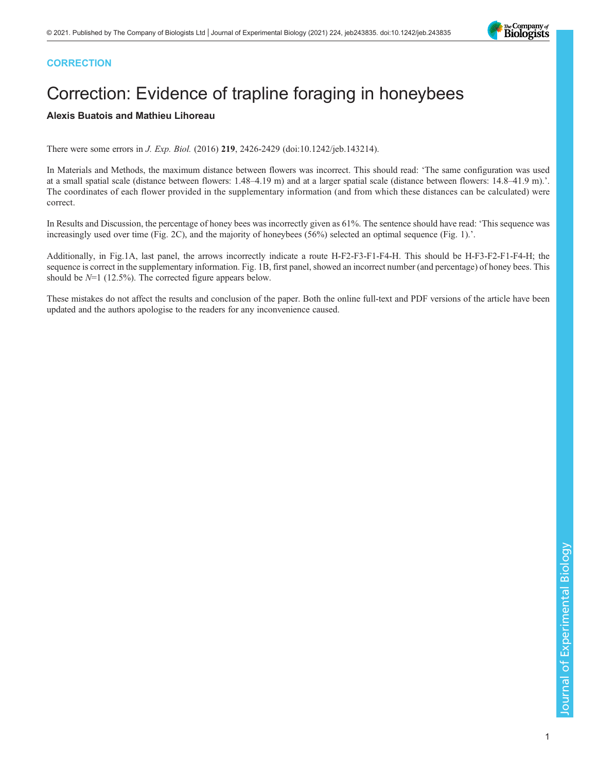## **CORRECTION**

## Correction: Evidence of trapline foraging in honeybees

## Alexis Buatois and Mathieu Lihoreau

There were some errors in [J. Exp. Biol.](https://doi.org/10.1242/jeb.143214) [\(2016\)](https://doi.org/10.1242/jeb.143214) [219](https://doi.org/10.1242/jeb.143214), [2426-2429 \(doi:10.1242/jeb.143214\).](https://doi.org/10.1242/jeb.143214)

In Materials and Methods, the maximum distance between flowers was incorrect. This should read: 'The same configuration was used at a small spatial scale (distance between flowers: 1.48–4.19 m) and at a larger spatial scale (distance between flowers: 14.8–41.9 m).'. The coordinates of each flower provided in the supplementary information (and from which these distances can be calculated) were correct.

In Results and Discussion, the percentage of honey bees was incorrectly given as 61%. The sentence should have read: 'This sequence was increasingly used over time (Fig. 2C), and the majority of honeybees (56%) selected an optimal sequence (Fig. 1).'.

Additionally, in Fig.1A, last panel, the arrows incorrectly indicate a route H-F2-F3-F1-F4-H. This should be H-F3-F2-F1-F4-H; the sequence is correct in the supplementary information. [Fig. 1B](#page-1-0), first panel, showed an incorrect number (and percentage) of honey bees. This should be  $N=1$  (12.5%). The corrected figure appears below.

These mistakes do not affect the results and conclusion of the paper. Both the online full-text and PDF versions of the article have been updated and the authors apologise to the readers for any inconvenience caused.

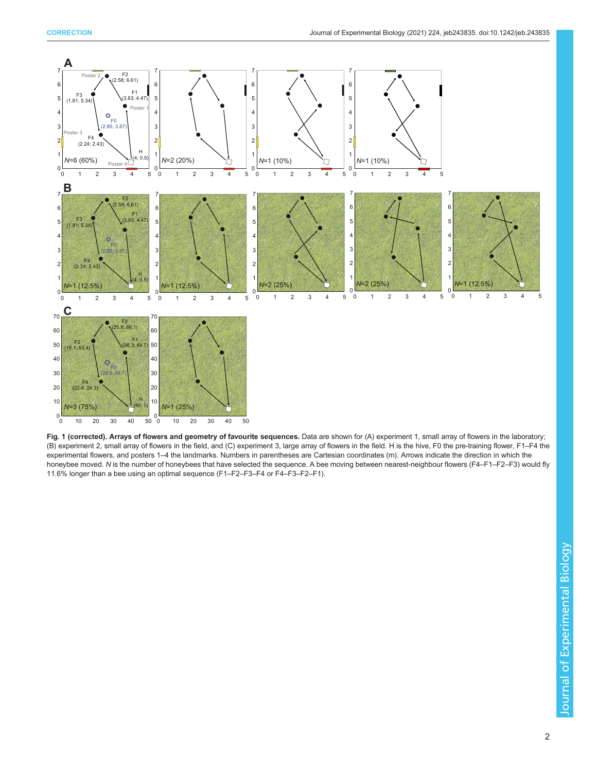<span id="page-1-0"></span>

Fig. 1 (corrected). Arrays of flowers and geometry of favourite sequences. Data are shown for (A) experiment 1, small array of flowers in the laboratory; (B) experiment 2, small array of flowers in the field, and (C) experiment 3, large array of flowers in the field. H is the hive, F0 the pre-training flower, F1–F4 the experimental flowers, and posters 1–4 the landmarks. Numbers in parentheses are Cartesian coordinates (m). Arrows indicate the direction in which the honeybee moved. N is the number of honeybees that have selected the sequence. A bee moving between nearest-neighbour flowers (F4–F1–F2–F3) would fly 11.6% longer than a bee using an optimal sequence (F1–F2–F3–F4 or F4–F3–F2–F1).